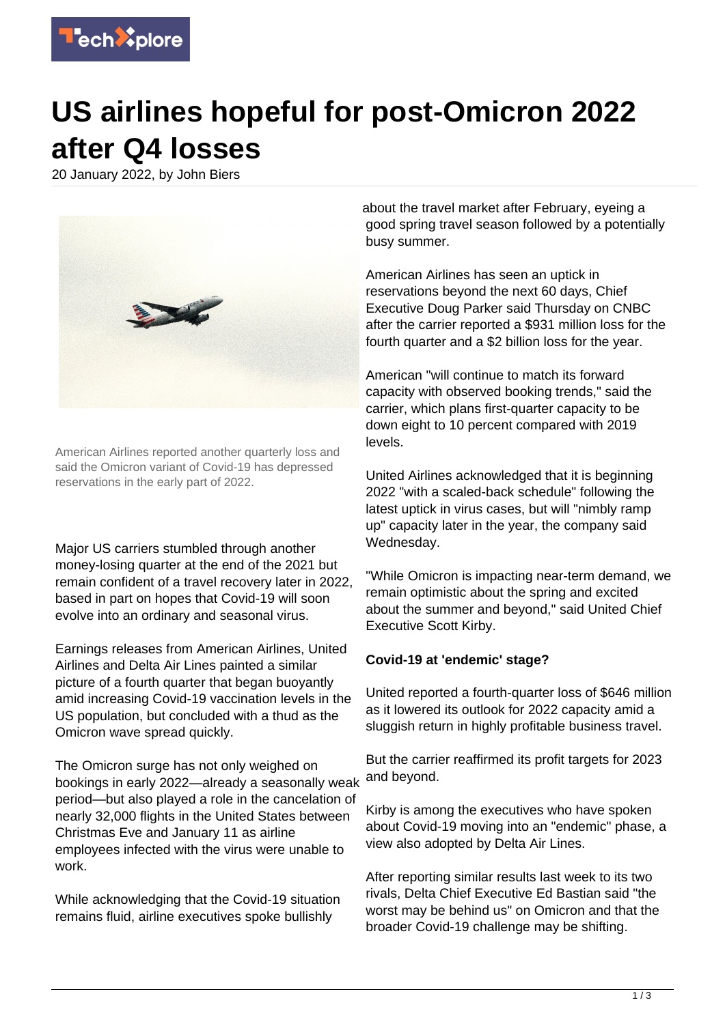

## **US airlines hopeful for post-Omicron 2022 after Q4 losses**

20 January 2022, by John Biers



American Airlines reported another quarterly loss and said the Omicron variant of Covid-19 has depressed reservations in the early part of 2022.

Major US carriers stumbled through another money-losing quarter at the end of the 2021 but remain confident of a travel recovery later in 2022, based in part on hopes that Covid-19 will soon evolve into an ordinary and seasonal virus.

Earnings releases from American Airlines, United Airlines and Delta Air Lines painted a similar picture of a fourth quarter that began buoyantly amid increasing Covid-19 vaccination levels in the US population, but concluded with a thud as the Omicron wave spread quickly.

The Omicron surge has not only weighed on bookings in early 2022—already a seasonally weak period—but also played a role in the cancelation of nearly 32,000 flights in the United States between Christmas Eve and January 11 as airline employees infected with the virus were unable to work.

While acknowledging that the Covid-19 situation remains fluid, airline executives spoke bullishly

about the travel market after February, eyeing a good spring travel season followed by a potentially busy summer.

American Airlines has seen an uptick in reservations beyond the next 60 days, Chief Executive Doug Parker said Thursday on CNBC after the carrier reported a \$931 million loss for the fourth quarter and a \$2 billion loss for the year.

American "will continue to match its forward capacity with observed booking trends," said the carrier, which plans first-quarter capacity to be down eight to 10 percent compared with 2019 levels.

United Airlines acknowledged that it is beginning 2022 "with a scaled-back schedule" following the latest uptick in virus cases, but will "nimbly ramp up" capacity later in the year, the company said Wednesday.

"While Omicron is impacting near-term demand, we remain optimistic about the spring and excited about the summer and beyond," said United Chief Executive Scott Kirby.

## **Covid-19 at 'endemic' stage?**

United reported a fourth-quarter loss of \$646 million as it lowered its outlook for 2022 capacity amid a sluggish return in highly profitable business travel.

But the carrier reaffirmed its profit targets for 2023 and beyond.

Kirby is among the executives who have spoken about Covid-19 moving into an "endemic" phase, a view also adopted by Delta Air Lines.

After reporting similar results last week to its two rivals, Delta Chief Executive Ed Bastian said "the worst may be behind us" on Omicron and that the broader Covid-19 challenge may be shifting.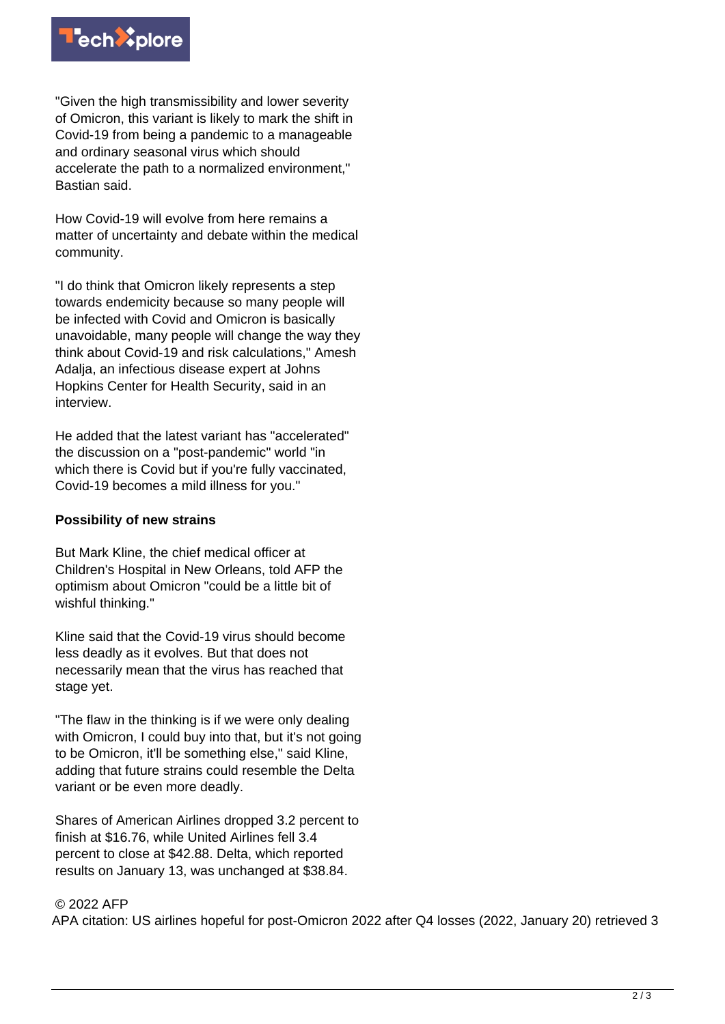

"Given the high transmissibility and lower severity of Omicron, this variant is likely to mark the shift in Covid-19 from being a pandemic to a manageable and ordinary seasonal virus which should accelerate the path to a normalized environment," Bastian said.

How Covid-19 will evolve from here remains a matter of uncertainty and debate within the medical community.

"I do think that Omicron likely represents a step towards endemicity because so many people will be infected with Covid and Omicron is basically unavoidable, many people will change the way they think about Covid-19 and risk calculations," Amesh Adalia, an infectious disease expert at Johns Hopkins Center for Health Security, said in an interview.

He added that the latest variant has "accelerated" the discussion on a "post-pandemic" world "in which there is Covid but if you're fully vaccinated, Covid-19 becomes a mild illness for you."

## **Possibility of new strains**

But Mark Kline, the chief medical officer at Children's Hospital in New Orleans, told AFP the optimism about Omicron "could be a little bit of wishful thinking."

Kline said that the Covid-19 virus should become less deadly as it evolves. But that does not necessarily mean that the virus has reached that stage yet.

"The flaw in the thinking is if we were only dealing with Omicron, I could buy into that, but it's not going to be Omicron, it'll be something else," said Kline, adding that future strains could resemble the Delta variant or be even more deadly.

Shares of American Airlines dropped 3.2 percent to finish at \$16.76, while United Airlines fell 3.4 percent to close at \$42.88. Delta, which reported results on January 13, was unchanged at \$38.84.

## © 2022 AFP

APA citation: US airlines hopeful for post-Omicron 2022 after Q4 losses (2022, January 20) retrieved 3